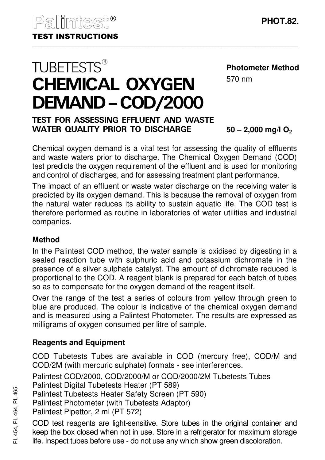# **TUBETESTS®** CHEMICAL OXYGEN DEMAND–COD/2000

#### **Photometer Method**

570 nm

## TEST FOR ASSESSING EFFLUENT AND WASTE WATER QUALITY PRIOR TO DISCHARGE

**50 – 2,000 mg/l O<sup>2</sup>**

Chemical oxygen demand is a vital test for assessing the quality of effluents and waste waters prior to discharge. The Chemical Oxygen Demand (COD) test predicts the oxygen requirement of the effluent and is used for monitoring and control of discharges, and for assessing treatment plant performance.

The impact of an effluent or waste water discharge on the receiving water is predicted by its oxygen demand. This is because the removal of oxygen from the natural water reduces its ability to sustain aquatic life. The COD test is therefore performed as routine in laboratories of water utilities and industrial companies.

## **Method**

In the Palintest COD method, the water sample is oxidised by digesting in a sealed reaction tube with sulphuric acid and potassium dichromate in the presence of a silver sulphate catalyst. The amount of dichromate reduced is proportional to the COD. A reagent blank is prepared for each batch of tubes so as to compensate for the oxygen demand of the reagent itself.

Over the range of the test a series of colours from yellow through green to blue are produced. The colour is indicative of the chemical oxygen demand and is measured using a Palintest Photometer. The results are expressed as milligrams of oxygen consumed per litre of sample.

## **Reagents and Equipment**

COD Tubetests Tubes are available in COD (mercury free), COD/M and COD/2M (with mercuric sulphate) formats - see interferences.

Palintest COD/2000, COD/2000/M or COD/2000/2M Tubetests Tubes

Palintest Digital Tubetests Heater (PT 589)

Palintest Tubetests Heater Safety Screen (PT 590)

Palintest Photometer (with Tubetests Adaptor)

Palintest Pipettor, 2 ml (PT 572)

COD test reagents are light-sensitive. Store tubes in the original container and keep the box closed when not in use. Store in a refrigerator for maximum storage life. Inspect tubes before use - do not use any which show green discoloration.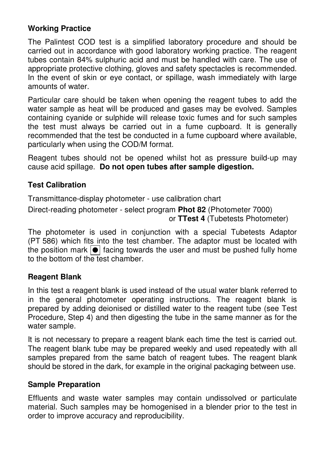## **Working Practice**

The Palintest COD test is a simplified laboratory procedure and should be carried out in accordance with good laboratory working practice. The reagent tubes contain 84% sulphuric acid and must be handled with care. The use of appropriate protective clothing, gloves and safety spectacles is recommended. In the event of skin or eye contact, or spillage, wash immediately with large amounts of water.

Particular care should be taken when opening the reagent tubes to add the water sample as heat will be produced and gases may be evolved. Samples containing cyanide or sulphide will release toxic fumes and for such samples the test must always be carried out in a fume cupboard. It is generally recommended that the test be conducted in a fume cupboard where available, particularly when using the COD/M format.

Reagent tubes should not be opened whilst hot as pressure build-up may cause acid spillage. **Do not open tubes after sample digestion.**

## **Test Calibration**

Transmittance-display photometer - use calibration chart

Direct-reading photometer - select program **Phot 82** (Photometer 7000) or **TTest 4** (Tubetests Photometer)

The photometer is used in conjunction with a special Tubetests Adaptor (PT 586) which fits into the test chamber. The adaptor must be located with the position mark  $\boxed{\bullet}$  facing towards the user and must be pushed fully home to the bottom of the test chamber.

## **Reagent Blank**

In this test a reagent blank is used instead of the usual water blank referred to in the general photometer operating instructions. The reagent blank is prepared by adding deionised or distilled water to the reagent tube (see Test Procedure, Step 4) and then digesting the tube in the same manner as for the water sample.

It is not necessary to prepare a reagent blank each time the test is carried out. The reagent blank tube may be prepared weekly and used repeatedly with all samples prepared from the same batch of reagent tubes. The reagent blank should be stored in the dark, for example in the original packaging between use.

#### **Sample Preparation**

Effluents and waste water samples may contain undissolved or particulate material. Such samples may be homogenised in a blender prior to the test in order to improve accuracy and reproducibility.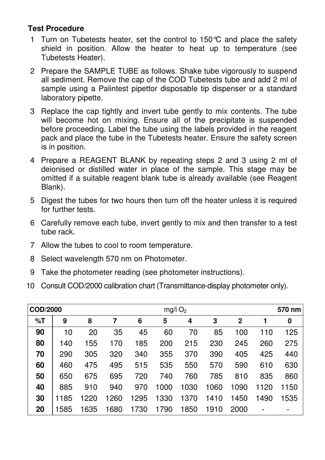## **Test Procedure**

- 1 Turn on Tubetests heater, set the control to 150°C and place the safety shield in position. Allow the heater to heat up to temperature (see Tubetests Heater).
- 2 Prepare the SAMPLE TUBE as follows. Shake tube vigorously to suspend all sediment. Remove the cap of the COD Tubetests tube and add 2 ml of sample using a Palintest pipettor disposable tip dispenser or a standard laboratory pipette.
- 3 Replace the cap tightly and invert tube gently to mix contents. The tube will become hot on mixing. Ensure all of the precipitate is suspended before proceeding. Label the tube using the labels provided in the reagent pack and place the tube in the Tubetests heater. Ensure the safety screen is in position.
- 4 Prepare a REAGENT BLANK by repeating steps 2 and 3 using 2 ml of deionised or distilled water in place of the sample. This stage may be omitted if a suitable reagent blank tube is already available (see Reagent Blank).
- 5 Digest the tubes for two hours then turn off the heater unless it is required for further tests.
- 6 Carefully remove each tube, invert gently to mix and then transfer to a test tube rack.
- 7 Allow the tubes to cool to room temperature.
- 8 Select wavelength 570 nm on Photometer.
- 9 Take the photometer reading (see photometer instructions).
- 10 Consult COD/2000 calibration chart (Transmittance-display photometer only).

| COD/2000 |      |      |      | $mg/l$ O <sub>2</sub> |      |      | 570 nm |              |      |      |
|----------|------|------|------|-----------------------|------|------|--------|--------------|------|------|
| %T       | 9    | 8    |      | 6                     | 5    | 4    | 3      | $\mathbf{2}$ |      | 0    |
| 90       | 10   | 20   | 35   | 45                    | 60   | 70   | 85     | 100          | 110  | 125  |
| 80       | 140  | 155  | 170  | 185                   | 200  | 215  | 230    | 245          | 260  | 275  |
| 70       | 290  | 305  | 320  | 340                   | 355  | 370  | 390    | 405          | 425  | 440  |
| 60       | 460  | 475  | 495  | 515                   | 535  | 550  | 570    | 590          | 610  | 630  |
| 50       | 650  | 675  | 695  | 720                   | 740  | 760  | 785    | 810          | 835  | 860  |
| 40       | 885  | 910  | 940  | 970                   | 1000 | 1030 | 1060   | 1090         | 1120 | 1150 |
| 30       | 1185 | 1220 | 1260 | 1295                  | 1330 | 1370 | 1410   | 1450         | 1490 | 1535 |
| 20       | 1585 | 1635 | 1680 | 1730                  | 1790 | 1850 | 1910   | 2000         |      |      |